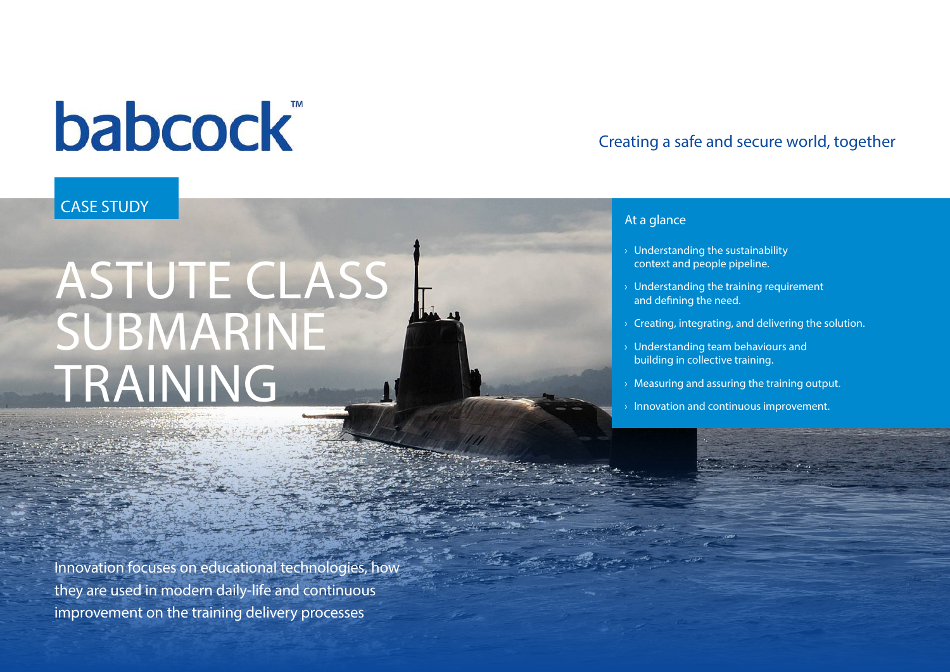# **babcock**

### CASE STUDY

# ASTUTE CLASS SUBMARINE TRAINING

Innovation focuses on educational technologies, how they are used in modern daily-life and continuous improvement on the training delivery processes

### Creating a safe and secure world, together

#### At a glance

- › Understanding the sustainability context and people pipeline.
- $\rightarrow$  Understanding the training requirement and defining the need.
- $\rightarrow$  Creating, integrating, and delivering the solution.
- $\rightarrow$  Understanding team behaviours and building in collective training.
- $\rightarrow$  Measuring and assuring the training output.
- $\rightarrow$  Innovation and continuous improvement.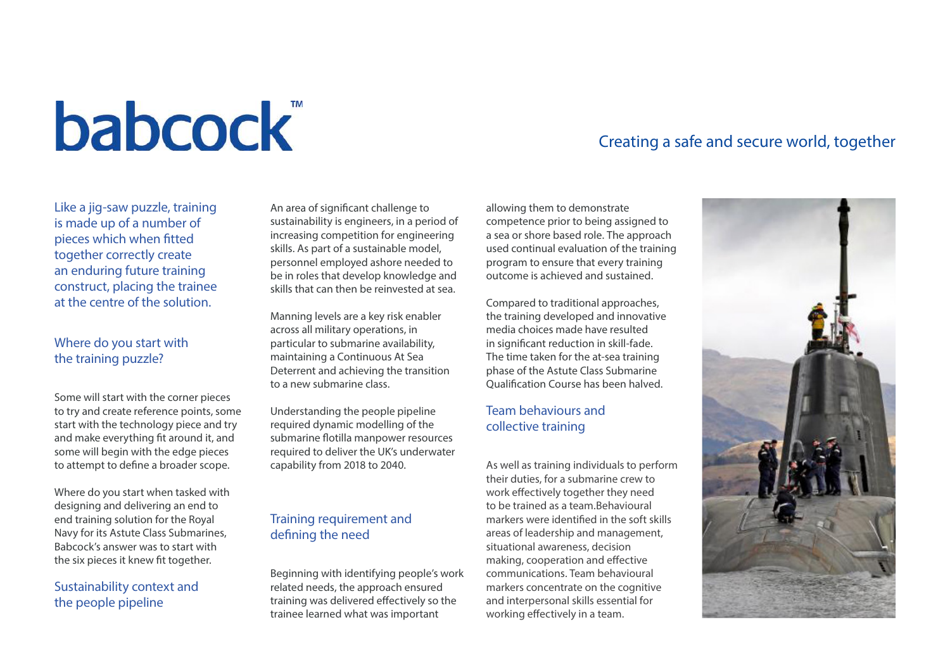# **babcock**

#### Like a jig-saw puzzle, training is made up of a number of pieces which when fitted together correctly create an enduring future training construct, placing the trainee at the centre of the solution.

#### Where do you start with the training puzzle?

Some will start with the corner pieces to try and create reference points, some start with the technology piece and try and make everything fit around it, and some will begin with the edge pieces to attempt to define a broader scope.

Where do you start when tasked with designing and delivering an end to end training solution for the Royal Navy for its Astute Class Submarines, Babcock's answer was to start with the six pieces it knew fit together.

#### Sustainability context and the people pipeline

An area of significant challenge to sustainability is engineers, in a period of increasing competition for engineering skills. As part of a sustainable model, personnel employed ashore needed to be in roles that develop knowledge and skills that can then be reinvested at sea.

Manning levels are a key risk enabler across all military operations, in particular to submarine availability, maintaining a Continuous At Sea Deterrent and achieving the transition to a new submarine class.

Understanding the people pipeline required dynamic modelling of the submarine flotilla manpower resources required to deliver the UK's underwater capability from 2018 to 2040.

#### Training requirement and defining the need

Beginning with identifying people's work related needs, the approach ensured training was delivered effectively so the trainee learned what was important

## Creating a safe and secure world, together

allowing them to demonstrate competence prior to being assigned to a sea or shore based role. The approach used continual evaluation of the training program to ensure that every training outcome is achieved and sustained.

Compared to traditional approaches, the training developed and innovative media choices made have resulted in significant reduction in skill-fade. The time taken for the at-sea training phase of the Astute Class Submarine Qualification Course has been halved.

#### Team behaviours and collective training

As well as training individuals to perform their duties, for a submarine crew to work effectively together they need to be trained as a team.Behavioural markers were identified in the soft skills areas of leadership and management, situational awareness, decision making, cooperation and effective communications. Team behavioural markers concentrate on the cognitive and interpersonal skills essential for working effectively in a team.